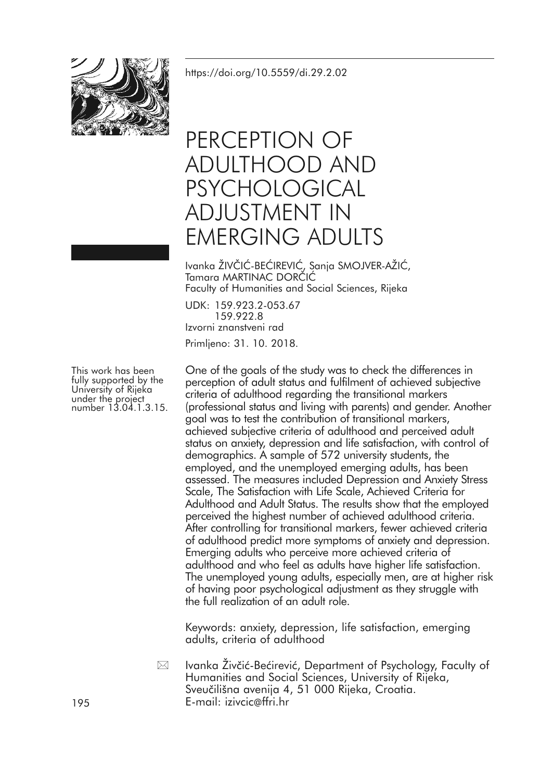

<https://doi.org/10.5559/di.29.2.02>

# PERCEPTION OF ADULTHOOD AND PSYCHOLOGICAL ADJUSTMENT IN EMERGING ADULTS

Ivanka ŽIVČIĆ-BEĆIREVIĆ, Sanja SMOJVER-AŽIĆ, Tamara MARTINAC DORČIĆ Faculty of Humanities and Social Sciences, Rijeka

UDK: 159.923.2-053.67 159.922.8 Izvorni znanstveni rad Primljeno: 31. 10. 2018.

One of the goals of the study was to check the differences in perception of adult status and fulfilment of achieved subjective criteria of adulthood regarding the transitional markers (professional status and living with parents) and gender. Another goal was to test the contribution of transitional markers, achieved subjective criteria of adulthood and perceived adult status on anxiety, depression and life satisfaction, with control of demographics. A sample of 572 university students, the employed, and the unemployed emerging adults, has been assessed. The measures included Depression and Anxiety Stress Scale, The Satisfaction with Life Scale, Achieved Criteria for Adulthood and Adult Status. The results show that the employed perceived the highest number of achieved adulthood criteria. After controlling for transitional markers, fewer achieved criteria of adulthood predict more symptoms of anxiety and depression. Emerging adults who perceive more achieved criteria of adulthood and who feel as adults have higher life satisfaction. The unemployed young adults, especially men, are at higher risk of having poor psychological adjustment as they struggle with the full realization of an adult role.

Keywords: anxiety, depression, life satisfaction, emerging adults, criteria of adulthood

Ivanka Živčić-Bećirević, Department of Psychology, Faculty of Humanities and Social Sciences, University of Rijeka, Sveučilišna avenija 4, 51 000 Rijeka, Croatia. 195 E-mail: izivcic@ffri.hr  $\boxtimes$ 

This work has been fully supported by the University of Rijeka under the project number 13.04.1.3.15.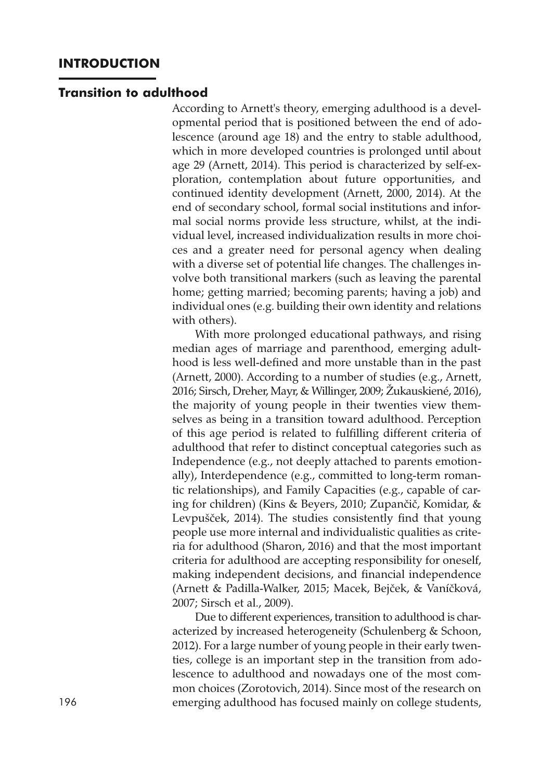#### **Transition to adulthood**

According to Arnett's theory, emerging adulthood is a developmental period that is positioned between the end of adolescence (around age 18) and the entry to stable adulthood, which in more developed countries is prolonged until about age 29 (Arnett, 2014). This period is characterized by self-exploration, contemplation about future opportunities, and continued identity development (Arnett, 2000, 2014). At the end of secondary school, formal social institutions and informal social norms provide less structure, whilst, at the individual level, increased individualization results in more choices and a greater need for personal agency when dealing with a diverse set of potential life changes. The challenges involve both transitional markers (such as leaving the parental home; getting married; becoming parents; having a job) and individual ones (e.g. building their own identity and relations with others).

With more prolonged educational pathways, and rising median ages of marriage and parenthood, emerging adulthood is less well-defined and more unstable than in the past (Arnett, 2000). According to a number of studies (e.g., Arnett, 2016; Sirsch, Dreher, Mayr, & Willinger, 2009; Žukauskiené, 2016), the majority of young people in their twenties view themselves as being in a transition toward adulthood. Perception of this age period is related to fulfilling different criteria of adulthood that refer to distinct conceptual categories such as Independence (e.g., not deeply attached to parents emotionally), Interdependence (e.g., committed to long-term romantic relationships), and Family Capacities (e.g., capable of caring for children) (Kins & Beyers, 2010; Zupančič, Komidar, & Levpušček, 2014). The studies consistently find that young people use more internal and individualistic qualities as criteria for adulthood (Sharon, 2016) and that the most important criteria for adulthood are accepting responsibility for oneself, making independent decisions, and financial independence (Arnett & Padilla-Walker, 2015; Macek, Bejček, & Vaníčková, 2007; Sirsch et al., 2009).

Due to different experiences, transition to adulthood is characterized by increased heterogeneity (Schulenberg & Schoon, 2012). For a large number of young people in their early twenties, college is an important step in the transition from adolescence to adulthood and nowadays one of the most common choices (Zorotovich, 2014). Since most of the research on 196 emerging adulthood has focused mainly on college students,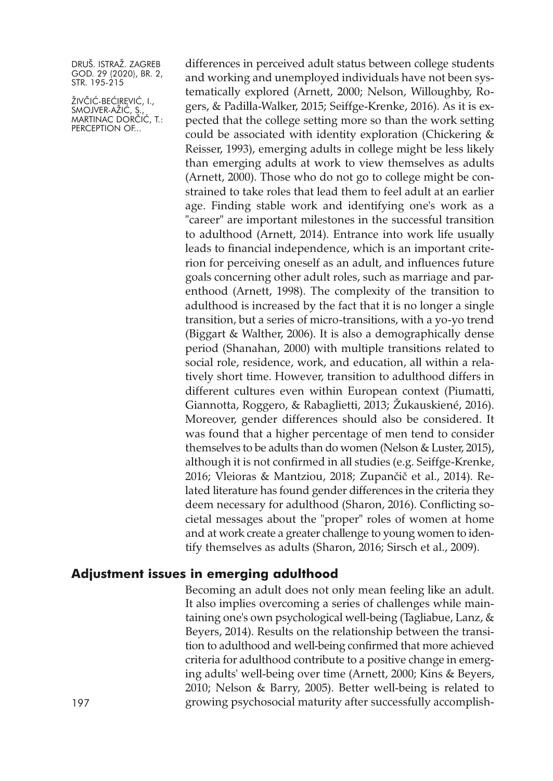ŽIVČIĆ-BEĆIREVIĆ, I., SMOJVER-AZIC, S., MARTINAC DORČIĆ, T.: PERCEPTION OF...

differences in perceived adult status between college students and working and unemployed individuals have not been systematically explored (Arnett, 2000; Nelson, Willoughby, Rogers, & Padilla-Walker, 2015; Seiffge-Krenke, 2016). As it is expected that the college setting more so than the work setting could be associated with identity exploration (Chickering & Reisser, 1993), emerging adults in college might be less likely than emerging adults at work to view themselves as adults (Arnett, 2000). Those who do not go to college might be constrained to take roles that lead them to feel adult at an earlier age. Finding stable work and identifying one's work as a "career" are important milestones in the successful transition to adulthood (Arnett, 2014). Entrance into work life usually leads to financial independence, which is an important criterion for perceiving oneself as an adult, and influences future goals concerning other adult roles, such as marriage and parenthood (Arnett, 1998). The complexity of the transition to adulthood is increased by the fact that it is no longer a single transition, but a series of micro-transitions, with a yo-yo trend (Biggart & Walther, 2006). It is also a demographically dense period (Shanahan, 2000) with multiple transitions related to social role, residence, work, and education, all within a relatively short time. However, transition to adulthood differs in different cultures even within European context (Piumatti, Giannotta, Roggero, & Rabaglietti, 2013; Žukauskiené, 2016). Moreover, gender differences should also be considered. It was found that a higher percentage of men tend to consider themselves to be adults than do women (Nelson & Luster, 2015), although it is not confirmed in all studies (e.g. Seiffge-Krenke, 2016; Vleioras & Mantziou, 2018; Zupančič et al., 2014). Related literature has found gender differences in the criteria they deem necessary for adulthood (Sharon, 2016). Conflicting societal messages about the "proper" roles of women at home and at work create a greater challenge to young women to identify themselves as adults (Sharon, 2016; Sirsch et al., 2009).

### **Adjustment issues in emerging adulthood**

Becoming an adult does not only mean feeling like an adult. It also implies overcoming a series of challenges while maintaining one's own psychological well-being (Tagliabue, Lanz, & Beyers, 2014). Results on the relationship between the transition to adulthood and well-being confirmed that more achieved criteria for adulthood contribute to a positive change in emerging adults' well-being over time (Arnett, 2000; Kins & Beyers, 2010; Nelson & Barry, 2005). Better well-being is related to 197 growing psychosocial maturity after successfully accomplish-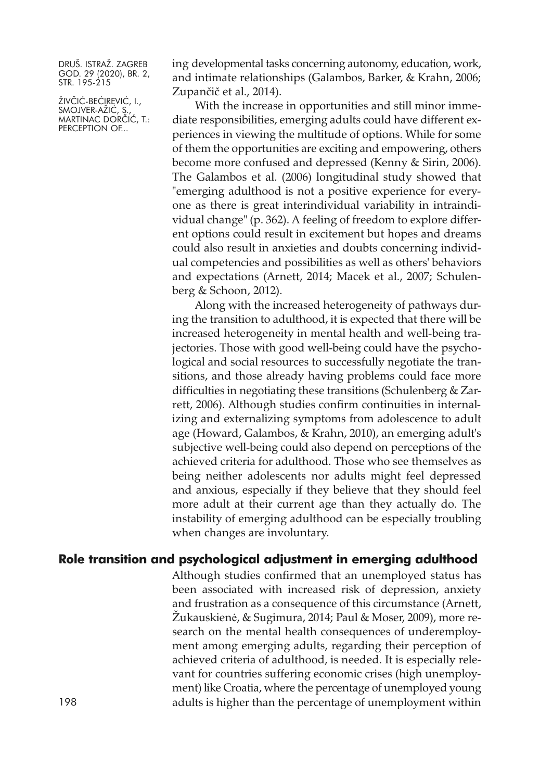ŽIVČIĆ-BEĆIREVIĆ, I., SMOJVER-AZIC, S., MARTINAC DORČIĆ, T.: PERCEPTION OF...

ing developmental tasks concerning autonomy, education, work, and intimate relationships (Galambos, Barker, & Krahn, 2006; Zupančič et al., 2014).

With the increase in opportunities and still minor immediate responsibilities, emerging adults could have different experiences in viewing the multitude of options. While for some of them the opportunities are exciting and empowering, others become more confused and depressed (Kenny & Sirin, 2006). The Galambos et al. (2006) longitudinal study showed that "emerging adulthood is not a positive experience for everyone as there is great interindividual variability in intraindividual change" (p. 362). A feeling of freedom to explore different options could result in excitement but hopes and dreams could also result in anxieties and doubts concerning individual competencies and possibilities as well as others' behaviors and expectations (Arnett, 2014; Macek et al., 2007; Schulenberg & Schoon, 2012).

Along with the increased heterogeneity of pathways during the transition to adulthood, it is expected that there will be increased heterogeneity in mental health and well-being trajectories. Those with good well-being could have the psychological and social resources to successfully negotiate the transitions, and those already having problems could face more difficulties in negotiating these transitions (Schulenberg & Zarrett, 2006). Although studies confirm continuities in internalizing and externalizing symptoms from adolescence to adult age (Howard, Galambos, & Krahn, 2010), an emerging adult's subjective well-being could also depend on perceptions of the achieved criteria for adulthood. Those who see themselves as being neither adolescents nor adults might feel depressed and anxious, especially if they believe that they should feel more adult at their current age than they actually do. The instability of emerging adulthood can be especially troubling when changes are involuntary.

## **Role transition and psychological adjustment in emerging adulthood**

Although studies confirmed that an unemployed status has been associated with increased risk of depression, anxiety and frustration as a consequence of this circumstance (Arnett, Žukauskienė, & Sugimura, 2014; Paul & Moser, 2009), more research on the mental health consequences of underemployment among emerging adults, regarding their perception of achieved criteria of adulthood, is needed. It is especially relevant for countries suffering economic crises (high unemployment) like Croatia, where the percentage of unemployed young 198 adults is higher than the percentage of unemployment within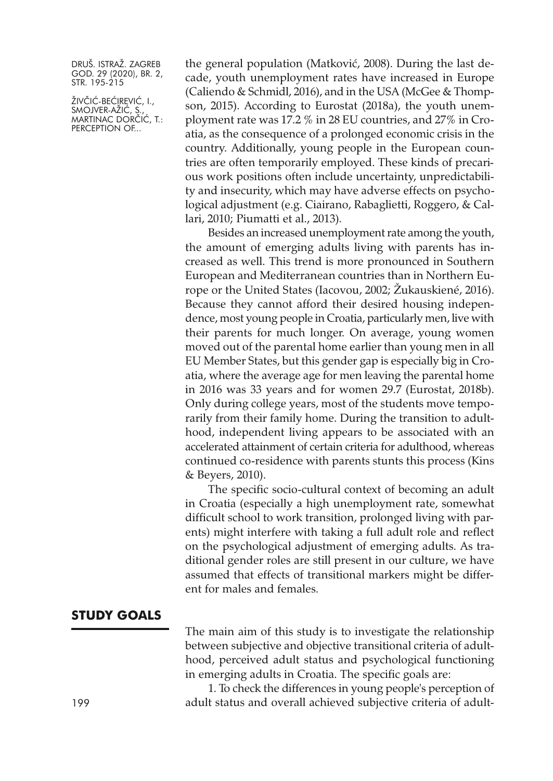ŽIVČIĆ-BEĆIREVIĆ, I., SMOJVER-AZIC, S., MARTINAC DORČIĆ, T.: PERCEPTION OF...

the general population (Matković, 2008). During the last decade, youth unemployment rates have increased in Europe (Caliendo & Schmidl, 2016), and in the USA (McGee & Thompson, 2015). According to Eurostat (2018a), the youth unemployment rate was 17.2 % in 28 EU countries, and 27% in Croatia, as the consequence of a prolonged economic crisis in the country. Additionally, young people in the European countries are often temporarily employed. These kinds of precarious work positions often include uncertainty, unpredictability and insecurity, which may have adverse effects on psychological adjustment (e.g. Ciairano, Rabaglietti, Roggero, & Callari, 2010; Piumatti et al., 2013).

Besides an increased unemployment rate among the youth, the amount of emerging adults living with parents has increased as well. This trend is more pronounced in Southern European and Mediterranean countries than in Northern Europe or the United States (Iacovou, 2002; Žukauskiené, 2016). Because they cannot afford their desired housing independence, most young people in Croatia, particularly men, live with their parents for much longer. On average, young women moved out of the parental home earlier than young men in all EU Member States, but this gender gap is especially big in Croatia, where the average age for men leaving the parental home in 2016 was 33 years and for women 29.7 (Eurostat, 2018b). Only during college years, most of the students move temporarily from their family home. During the transition to adulthood, independent living appears to be associated with an accelerated attainment of certain criteria for adulthood, whereas continued co-residence with parents stunts this process (Kins & Beyers, 2010).

The specific socio-cultural context of becoming an adult in Croatia (especially a high unemployment rate, somewhat difficult school to work transition, prolonged living with parents) might interfere with taking a full adult role and reflect on the psychological adjustment of emerging adults. As traditional gender roles are still present in our culture, we have assumed that effects of transitional markers might be different for males and females.

#### **STUDY GOALS**

The main aim of this study is to investigate the relationship between subjective and objective transitional criteria of adulthood, perceived adult status and psychological functioning in emerging adults in Croatia. The specific goals are:

1. To check the differences in young people's perception of 199 adult status and overall achieved subjective criteria of adult-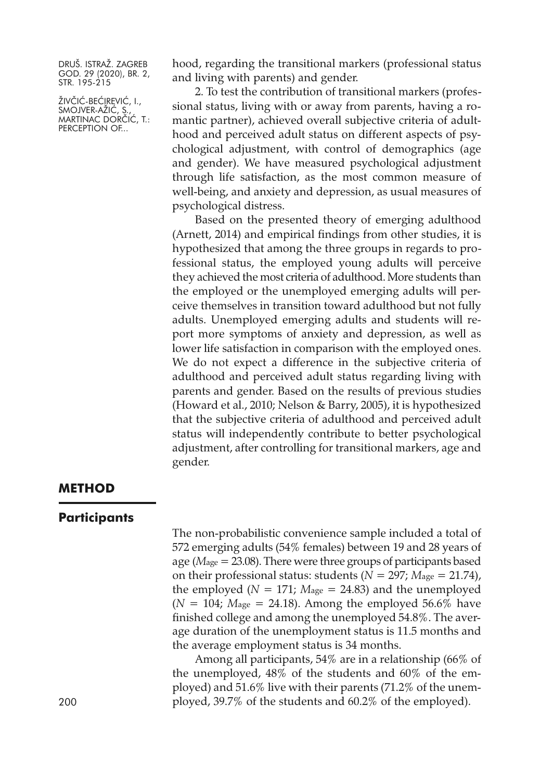ŽIVČIĆ-BEĆIREVIĆ, I., SMOJVER-AZIC, S., MARTINAC DORČIĆ, T.: PERCEPTION OF...

hood, regarding the transitional markers (professional status and living with parents) and gender.

2. To test the contribution of transitional markers (professional status, living with or away from parents, having a romantic partner), achieved overall subjective criteria of adulthood and perceived adult status on different aspects of psychological adjustment, with control of demographics (age and gender). We have measured psychological adjustment through life satisfaction, as the most common measure of well-being, and anxiety and depression, as usual measures of psychological distress.

Based on the presented theory of emerging adulthood (Arnett, 2014) and empirical findings from other studies, it is hypothesized that among the three groups in regards to professional status, the employed young adults will perceive they achieved the most criteria of adulthood. More students than the employed or the unemployed emerging adults will perceive themselves in transition toward adulthood but not fully adults. Unemployed emerging adults and students will report more symptoms of anxiety and depression, as well as lower life satisfaction in comparison with the employed ones. We do not expect a difference in the subjective criteria of adulthood and perceived adult status regarding living with parents and gender. Based on the results of previous studies (Howard et al., 2010; Nelson & Barry, 2005), it is hypothesized that the subjective criteria of adulthood and perceived adult status will independently contribute to better psychological adjustment, after controlling for transitional markers, age and gender.

#### **METHOD**

#### **Participants**

The non-probabilistic convenience sample included a total of 572 emerging adults (54% females) between 19 and 28 years of age (*M*age = 23.08). There were three groups of participants based on their professional status: students  $(N = 297; M<sub>age</sub> = 21.74)$ , the employed ( $N = 171$ ;  $M_{\text{age}} = 24.83$ ) and the unemployed  $(N = 104; M_{\text{age}} = 24.18)$ . Among the employed 56.6% have finished college and among the unemployed 54.8%. The average duration of the unemployment status is 11.5 months and the average employment status is 34 months.

Among all participants, 54% are in a relationship (66% of the unemployed, 48% of the students and 60% of the employed) and 51.6% live with their parents (71.2% of the unem-200 ployed, 39.7% of the students and 60.2% of the employed).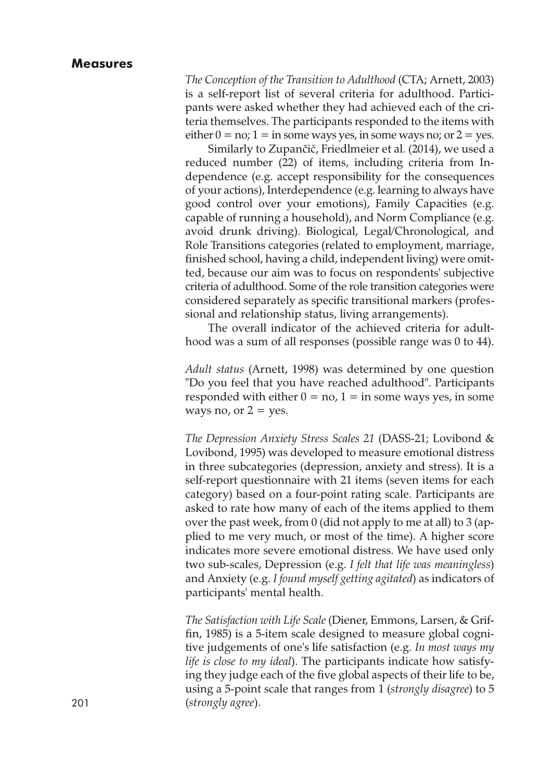*The Conception of the Transition to Adulthood* (CTA; Arnett, 2003) is a self-report list of several criteria for adulthood. Participants were asked whether they had achieved each of the criteria themselves. The participants responded to the items with either  $0 = no$ ;  $1 = in$  some ways yes, in some ways no; or  $2 = yes$ .

Similarly to Zupančič, Friedlmeier et al. (2014), we used a reduced number (22) of items, including criteria from Independence (e.g. accept responsibility for the consequences of your actions), Interdependence (e.g. learning to always have good control over your emotions), Family Capacities (e.g. capable of running a household), and Norm Compliance (e.g. avoid drunk driving). Biological, Legal/Chronological, and Role Transitions categories (related to employment, marriage, finished school, having a child, independent living) were omitted, because our aim was to focus on respondents' subjective criteria of adulthood. Some of the role transition categories were considered separately as specific transitional markers (professional and relationship status, living arrangements).

The overall indicator of the achieved criteria for adulthood was a sum of all responses (possible range was 0 to 44).

*Adult status* (Arnett, 1998) was determined by one question "Do you feel that you have reached adulthood". Participants responded with either  $0 = no$ ,  $1 = in$  some ways yes, in some ways no, or  $2 = yes$ .

*The Depression Anxiety Stress Scales 21* (DASS-21; Lovibond & Lovibond, 1995) was developed to measure emotional distress in three subcategories (depression, anxiety and stress). It is a self-report questionnaire with 21 items (seven items for each category) based on a four-point rating scale. Participants are asked to rate how many of each of the items applied to them over the past week, from 0 (did not apply to me at all) to 3 (applied to me very much, or most of the time). A higher score indicates more severe emotional distress. We have used only two sub-scales, Depression (e.g. *I felt that life was meaningless*) and Anxiety (e.g. *I found myself getting agitated*) as indicators of participants' mental health.

*The Satisfaction with Life Scale* (Diener, Emmons, Larsen, & Griffin, 1985) is a 5-item scale designed to measure global cognitive judgements of one's life satisfaction (e.g. *In most ways my life is close to my ideal*). The participants indicate how satisfying they judge each of the five global aspects of their life to be, using a 5-point scale that ranges from 1 (*strongly disagree*) to 5 201 (*strongly agree*).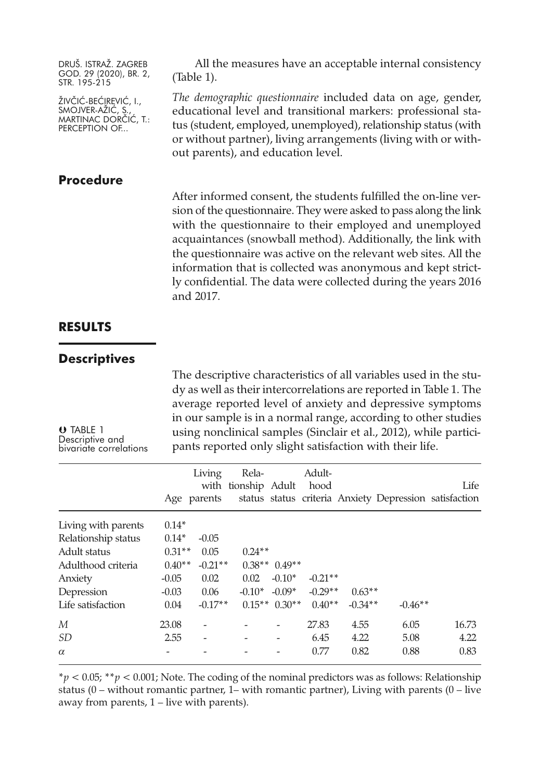ŽIVČIĆ-BEĆIREVIĆ, I., SMOJVER-AZIC, S., MARTINAC DORČIĆ, T.: PERCEPTION OF...

## **Procedure**

All the measures have an acceptable internal consistency (Table 1).

*The demographic questionnaire* included data on age, gender, educational level and transitional markers: professional status (student, employed, unemployed), relationship status (with or without partner), living arrangements (living with or without parents), and education level.

After informed consent, the students fulfilled the on-line version of the questionnaire. They were asked to pass along the link with the questionnaire to their employed and unemployed acquaintances (snowball method). Additionally, the link with the questionnaire was active on the relevant web sites. All the information that is collected was anonymous and kept strictly confidential. The data were collected during the years 2016 and 2017.

## **RESULTS**

### **Descriptives**

The descriptive characteristics of all variables used in the study as well as their intercorrelations are reported in Table 1. The average reported level of anxiety and depressive symptoms in our sample is in a normal range, according to other studies using nonclinical samples (Sinclair et al., 2012), while participants reported only slight satisfaction with their life.

 TABLE 1 Descriptive and bivariate correlations

|                     | Age parents | Living    | Rela-<br>with tionship Adult |          | Adult-<br>hood |           | status status criteria Anxiety Depression satisfaction | Life  |
|---------------------|-------------|-----------|------------------------------|----------|----------------|-----------|--------------------------------------------------------|-------|
| Living with parents | $0.14*$     |           |                              |          |                |           |                                                        |       |
| Relationship status | $0.14*$     | $-0.05$   |                              |          |                |           |                                                        |       |
| Adult status        | $0.31**$    | 0.05      | $0.24**$                     |          |                |           |                                                        |       |
| Adulthood criteria  | $0.40**$    | $-0.21**$ | $0.38**$                     | $0.49**$ |                |           |                                                        |       |
| Anxiety             | $-0.05$     | 0.02      | 0.02                         | $-0.10*$ | $-0.21**$      |           |                                                        |       |
| Depression          | $-0.03$     | 0.06      | $-0.10*$                     | $-0.09*$ | $-0.29**$      | $0.63**$  |                                                        |       |
| Life satisfaction   | 0.04        | $-0.17**$ | $0.15**$                     | $0.30**$ | $0.40**$       | $-0.34**$ | $-0.46**$                                              |       |
| М                   | 23.08       |           |                              |          | 27.83          | 4.55      | 6.05                                                   | 16.73 |
| SD                  | 2.55        |           |                              |          | 6.45           | 4.22      | 5.08                                                   | 4.22  |
| $\alpha$            |             |           |                              |          | 0.77           | 0.82      | 0.88                                                   | 0.83  |

\**p <* 0.05; \*\**p <* 0.001; Note. The coding of the nominal predictors was as follows: Relationship status  $(0 -$  without romantic partner, 1– with romantic partner), Living with parents  $(0 -$  live away from parents, 1 – live with parents).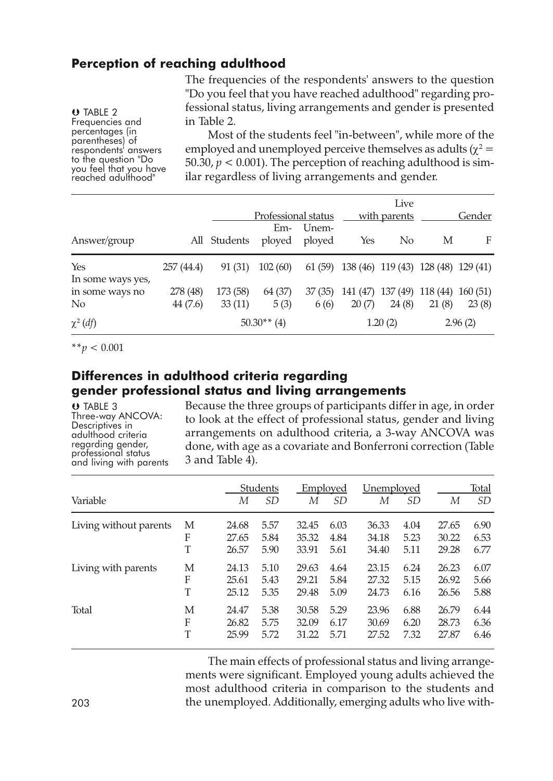## **Perception of reaching adulthood**

The frequencies of the respondents' answers to the question "Do you feel that you have reached adulthood" regarding professional status, living arrangements and gender is presented in Table 2.

 TABLE 2 Frequencies and<br>percentages (in percentheses) of<br>respondents' answers<br>to the question "Do<br>you feel that you have<br>reached adulthood"

Most of the students feel "in-between", while more of the employed and unemployed perceive themselves as adults ( $\chi^2$  = 50.30,  $p < 0.001$ ). The perception of reaching adulthood is similar regardless of living arrangements and gender.

|                                   |                      | Professional status |                 | Live<br>with parents | Gender                              |                   |                              |         |
|-----------------------------------|----------------------|---------------------|-----------------|----------------------|-------------------------------------|-------------------|------------------------------|---------|
| Answer/group                      |                      | All Students        | Em-<br>ployed   | Unem-<br>ployed      | Yes                                 | N <sub>0</sub>    | М                            | F       |
| Yes<br>In some ways yes,          | 257 (44.4)           | 91 (31)             | 102(60)         | 61 (59)              | 138 (46) 119 (43) 128 (48) 129 (41) |                   |                              |         |
| in some ways no<br>N <sub>0</sub> | 278 (48)<br>44 (7.6) | 173 (58)<br>33(11)  | 64 (37)<br>5(3) | 37(35)<br>6(6)       | 141 (47)<br>20(7)                   | 137 (49)<br>24(8) | $118(44)$ $160(51)$<br>21(8) | 23(8)   |
| $\chi^2$ (df)                     |                      |                     | $50.30**$ (4)   |                      |                                     | 1.20(2)           |                              | 2.96(2) |

\*\**p <* 0.001

## **Differences in adulthood criteria regarding gender professional status and living arrangements**

**U** TABLE 3<br>Three-way ANCOVA: The Music in adulthood criteria<br>
The regarding gender, professional status<br>
and living with parents

Because the three groups of participants differ in age, in order to look at the effect of professional status, gender and living arrangements on adulthood criteria, a 3-way ANCOVA was done, with age as a covariate and Bonferroni correction (Table 3 and Table 4).

| Variable               |   | М     | Students<br><i>SD</i> | М     | Employed<br><i>SD</i> | Unemploved<br>М | <i>SD</i> | М     | Total<br><i>SD</i> |
|------------------------|---|-------|-----------------------|-------|-----------------------|-----------------|-----------|-------|--------------------|
| Living without parents | М | 24.68 | 5.57                  | 32.45 | 6.03                  | 36.33           | 4.04      | 27.65 | 6.90               |
|                        | F | 27.65 | 5.84                  | 35.32 | 4.84                  | 34.18           | 5.23      | 30.22 | 6.53               |
|                        | T | 26.57 | 5.90                  | 33.91 | 5.61                  | 34.40           | 5.11      | 29.28 | 6.77               |
| Living with parents    | М | 24.13 | 5.10                  | 29.63 | 4.64                  | 23.15           | 6.24      | 26.23 | 6.07               |
|                        | F | 25.61 | 5.43                  | 29.21 | 5.84                  | 27.32           | 5.15      | 26.92 | 5.66               |
|                        | T | 25.12 | 5.35                  | 29.48 | 5.09                  | 24.73           | 6.16      | 26.56 | 5.88               |
| Total                  | М | 24.47 | 5.38                  | 30.58 | 5.29                  | 23.96           | 6.88      | 26.79 | 6.44               |
|                        | F | 26.82 | 5.75                  | 32.09 | 6.17                  | 30.69           | 6.20      | 28.73 | 6.36               |
|                        | T | 25.99 | 5.72                  | 31.22 | 5.71                  | 27.52           | 7.32      | 27.87 | 6.46               |

The main effects of professional status and living arrangements were significant. Employed young adults achieved the most adulthood criteria in comparison to the students and 203 the unemployed. Additionally, emerging adults who live with-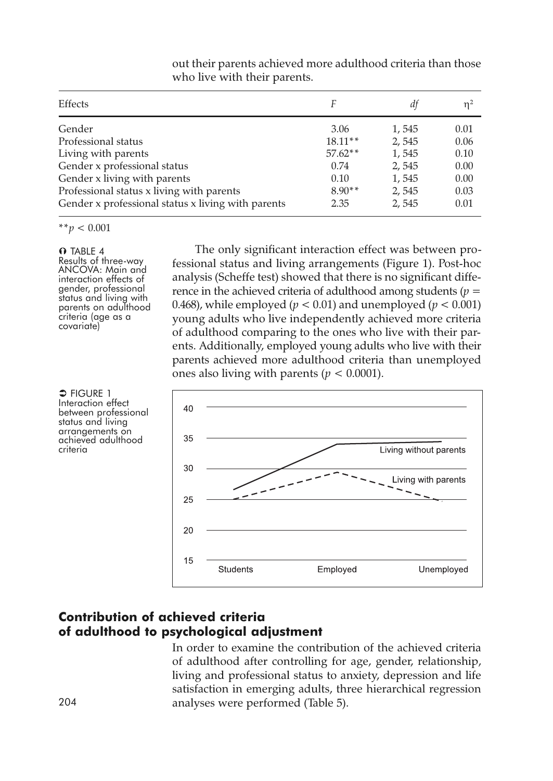| Effects                                            |           | dt    | $n^2$ |
|----------------------------------------------------|-----------|-------|-------|
| Gender                                             | 3.06      | 1,545 | 0.01  |
| Professional status                                | $18.11**$ | 2,545 | 0.06  |
| Living with parents                                | $57.62**$ | 1,545 | 0.10  |
| Gender x professional status                       | 0.74      | 2,545 | 0.00  |
| Gender x living with parents                       | 0.10      | 1,545 | 0.00  |
| Professional status x living with parents          | $8.90**$  | 2,545 | 0.03  |
| Gender x professional status x living with parents | 2.35      | 2,545 | 0.01  |

out their parents achieved more adulthood criteria than those who live with their parents.

\*\**p <* 0.001

#### **O** TABLE 4

Results of three-way ANCOVA: Main and interaction effects of<br>gender, professional status and living with parents on adulthood criteria (age as <sup>a</sup> covariate)

The only significant interaction effect was between professional status and living arrangements (Figure 1). Post-hoc analysis (Scheffe test) showed that there is no significant difference in the achieved criteria of adulthood among students (*p =* 0.468), while employed ( $p < 0.01$ ) and unemployed ( $p < 0.001$ ) young adults who live independently achieved more criteria of adulthood comparing to the ones who live with their parents. Additionally, employed young adults who live with their parents achieved more adulthood criteria than unemployed ones also living with parents ( $p < 0.0001$ ).



 $\Rightarrow$  Figure 1 Interaction effect<br>between professional status and living<br>arrangements on<br>achieved adulthood<br>criteria

## **Contribution of achieved criteria of adulthood to psychological adjustment**

In order to examine the contribution of the achieved criteria of adulthood after controlling for age, gender, relationship, living and professional status to anxiety, depression and life satisfaction in emerging adults, three hierarchical regression 204 analyses were performed (Table 5).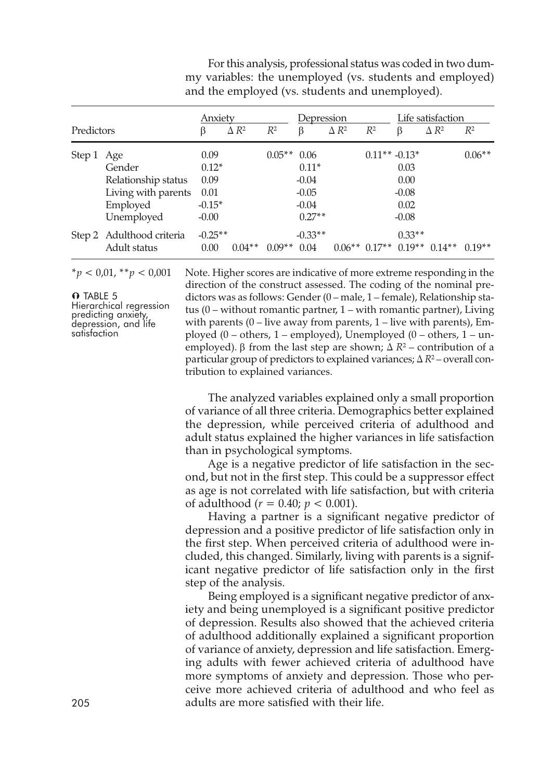| Predictors |                                                                                | Anxiety<br>$\Delta R^2$<br>$R^2$<br>ß                  |          |          | Depression<br>$\Delta R^2$<br>$R^2$<br>β                     |  |                 | Life satisfaction<br>$\Delta R^2$<br>$R^2$<br>β |          |          |
|------------|--------------------------------------------------------------------------------|--------------------------------------------------------|----------|----------|--------------------------------------------------------------|--|-----------------|-------------------------------------------------|----------|----------|
| Step 1 Age | Gender<br>Relationship status<br>Living with parents<br>Employed<br>Unemployed | 0.09<br>$0.12*$<br>0.09<br>0.01<br>$-0.15*$<br>$-0.00$ |          | $0.05**$ | 0.06<br>$0.11*$<br>$-0.04$<br>$-0.05$<br>$-0.04$<br>$0.27**$ |  | $0.11** -0.13*$ | 0.03<br>0.00<br>$-0.08$<br>0.02<br>$-0.08$      |          | $0.06**$ |
|            | Step 2 Adulthood criteria<br>Adult status                                      | $-0.25**$<br>0.00                                      | $0.04**$ | $0.09**$ | $-0.33**$<br>0.04                                            |  | $0.06**0.17**$  | $0.33**$<br>$0.19**$                            | $0.14**$ | $0.19**$ |

For this analysis, professional status was coded in two dummy variables: the unemployed (vs. students and employed) and the employed (vs. students and unemployed).

**O** TABLE 5<br>Hierarchical regression predicting anxiety,<br>depression, and life<br>satisfaction

\**p <* 0,01, \*\**p <* 0,001 Note. Higher scores are indicative of more extreme responding in the direction of the construct assessed. The coding of the nominal predictors was as follows: Gender (0 – male, 1 – female), Relationship status (0 – without romantic partner, 1 – with romantic partner), Living with parents  $(0 -$  live away from parents,  $1 -$  live with parents), Employed  $(0 - \text{others}, 1 - \text{employed})$ , Unemployed  $(0 - \text{others}, 1 - \text{un-}$ employed). β from the last step are shown;  $Δ R²$  – contribution of a particular group of predictors to explained variances; *∆ R*<sup>2</sup> – overall contribution to explained variances.

> The analyzed variables explained only a small proportion of variance of all three criteria. Demographics better explained the depression, while perceived criteria of adulthood and adult status explained the higher variances in life satisfaction than in psychological symptoms.

> Age is a negative predictor of life satisfaction in the second, but not in the first step. This could be a suppressor effect as age is not correlated with life satisfaction, but with criteria of adulthood ( $r = 0.40; p < 0.001$ ).

> Having a partner is a significant negative predictor of depression and a positive predictor of life satisfaction only in the first step. When perceived criteria of adulthood were included, this changed. Similarly, living with parents is a significant negative predictor of life satisfaction only in the first step of the analysis.

Being employed is a significant negative predictor of anxiety and being unemployed is a significant positive predictor of depression. Results also showed that the achieved criteria of adulthood additionally explained a significant proportion of variance of anxiety, depression and life satisfaction. Emerging adults with fewer achieved criteria of adulthood have more symptoms of anxiety and depression. Those who perceive more achieved criteria of adulthood and who feel as 205 adults are more satisfied with their life.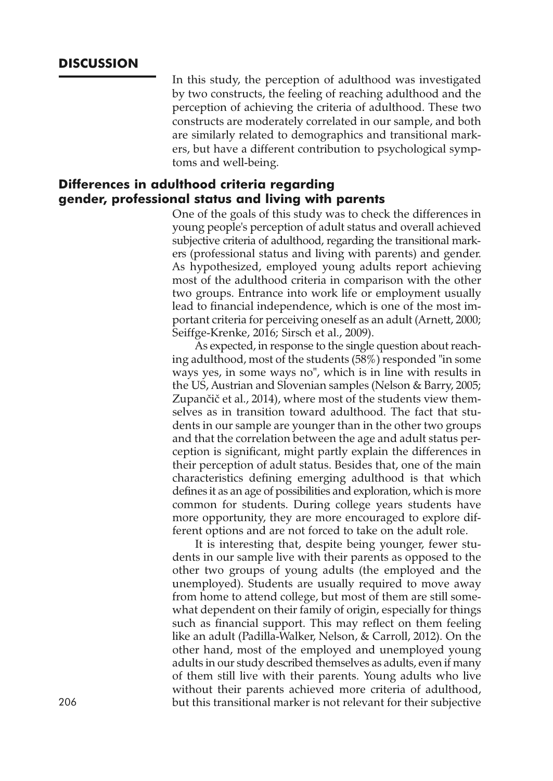## **DISCUSSION**

In this study, the perception of adulthood was investigated by two constructs, the feeling of reaching adulthood and the perception of achieving the criteria of adulthood. These two constructs are moderately correlated in our sample, and both are similarly related to demographics and transitional markers, but have a different contribution to psychological symptoms and well-being.

## **Differences in adulthood criteria regarding gender, professional status and living with parents**

One of the goals of this study was to check the differences in young people's perception of adult status and overall achieved subjective criteria of adulthood, regarding the transitional markers (professional status and living with parents) and gender. As hypothesized, employed young adults report achieving most of the adulthood criteria in comparison with the other two groups. Entrance into work life or employment usually lead to financial independence, which is one of the most important criteria for perceiving oneself as an adult (Arnett, 2000; Seiffge-Krenke, 2016; Sirsch et al., 2009).

As expected, in response to the single question about reaching adulthood, most of the students (58%) responded "in some ways yes, in some ways no", which is in line with results in the US, Austrian and Slovenian samples (Nelson & Barry, 2005; Zupančič et al., 2014), where most of the students view themselves as in transition toward adulthood. The fact that students in our sample are younger than in the other two groups and that the correlation between the age and adult status perception is significant, might partly explain the differences in their perception of adult status. Besides that, one of the main characteristics defining emerging adulthood is that which defines it as an age of possibilities and exploration, which is more common for students. During college years students have more opportunity, they are more encouraged to explore different options and are not forced to take on the adult role.

It is interesting that, despite being younger, fewer students in our sample live with their parents as opposed to the other two groups of young adults (the employed and the unemployed). Students are usually required to move away from home to attend college, but most of them are still somewhat dependent on their family of origin, especially for things such as financial support. This may reflect on them feeling like an adult (Padilla-Walker, Nelson, & Carroll, 2012). On the other hand, most of the employed and unemployed young adults in our study described themselves as adults, even if many of them still live with their parents. Young adults who live without their parents achieved more criteria of adulthood, 206 but this transitional marker is not relevant for their subjective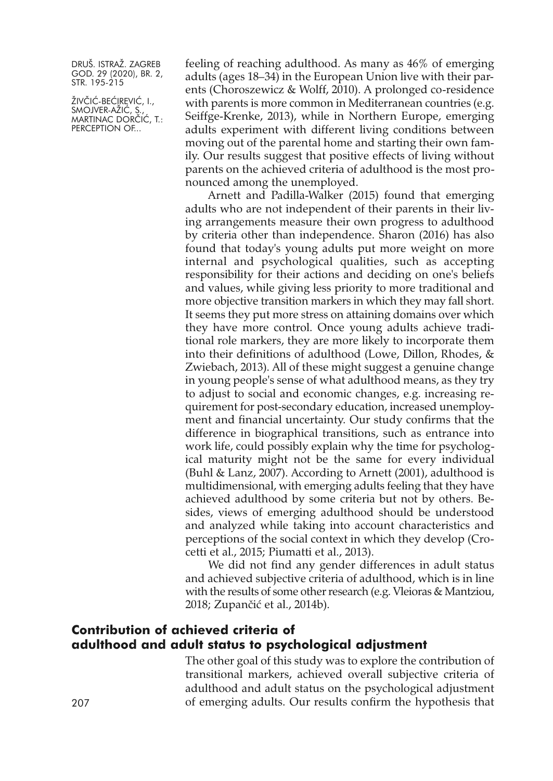ŽIVČIĆ-BEĆIREVIĆ, I., SMOJVER-AZIC, S., MARTINAC DORČIĆ, T.: PERCEPTION OF...

feeling of reaching adulthood. As many as 46% of emerging adults (ages 18–34) in the European Union live with their parents (Choroszewicz & Wolff, 2010). A prolonged co-residence with parents is more common in Mediterranean countries (e.g. Seiffge-Krenke, 2013), while in Northern Europe, emerging adults experiment with different living conditions between moving out of the parental home and starting their own family. Our results suggest that positive effects of living without parents on the achieved criteria of adulthood is the most pronounced among the unemployed.

Arnett and Padilla-Walker (2015) found that emerging adults who are not independent of their parents in their living arrangements measure their own progress to adulthood by criteria other than independence. Sharon (2016) has also found that today's young adults put more weight on more internal and psychological qualities, such as accepting responsibility for their actions and deciding on one's beliefs and values, while giving less priority to more traditional and more objective transition markers in which they may fall short. It seems they put more stress on attaining domains over which they have more control. Once young adults achieve traditional role markers, they are more likely to incorporate them into their definitions of adulthood (Lowe, Dillon, Rhodes, & Zwiebach, 2013). All of these might suggest a genuine change in young people's sense of what adulthood means, as they try to adjust to social and economic changes, e.g. increasing requirement for post-secondary education, increased unemployment and financial uncertainty. Our study confirms that the difference in biographical transitions, such as entrance into work life, could possibly explain why the time for psychological maturity might not be the same for every individual (Buhl & Lanz, 2007). According to Arnett (2001), adulthood is multidimensional, with emerging adults feeling that they have achieved adulthood by some criteria but not by others. Besides, views of emerging adulthood should be understood and analyzed while taking into account characteristics and perceptions of the social context in which they develop (Crocetti et al., 2015; Piumatti et al., 2013).

We did not find any gender differences in adult status and achieved subjective criteria of adulthood, which is in line with the results of some other research (e.g. Vleioras & Mantziou, 2018; Zupančić et al., 2014b).

## **Contribution of achieved criteria of adulthood and adult status to psychological adjustment**

The other goal of this study was to explore the contribution of transitional markers, achieved overall subjective criteria of adulthood and adult status on the psychological adjustment 207 of emerging adults. Our results confirm the hypothesis that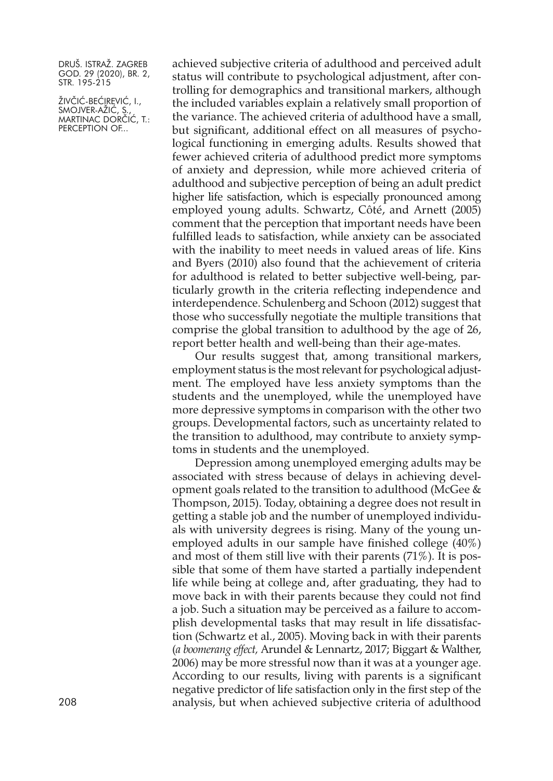ŽIVČIĆ-BEĆIREVIĆ, I., SMOJVER-AZIC, S., MARTINAC DORČIĆ, T.: PERCEPTION OF...

achieved subjective criteria of adulthood and perceived adult status will contribute to psychological adjustment, after controlling for demographics and transitional markers, although the included variables explain a relatively small proportion of the variance. The achieved criteria of adulthood have a small, but significant, additional effect on all measures of psychological functioning in emerging adults. Results showed that fewer achieved criteria of adulthood predict more symptoms of anxiety and depression, while more achieved criteria of adulthood and subjective perception of being an adult predict higher life satisfaction, which is especially pronounced among employed young adults. Schwartz, Côté, and Arnett (2005) comment that the perception that important needs have been fulfilled leads to satisfaction, while anxiety can be associated with the inability to meet needs in valued areas of life. Kins and Byers (2010) also found that the achievement of criteria for adulthood is related to better subjective well-being, particularly growth in the criteria reflecting independence and interdependence. Schulenberg and Schoon (2012) suggest that those who successfully negotiate the multiple transitions that comprise the global transition to adulthood by the age of 26, report better health and well-being than their age-mates.

Our results suggest that, among transitional markers, employment status is the mostrelevant for psychological adjustment. The employed have less anxiety symptoms than the students and the unemployed, while the unemployed have more depressive symptoms in comparison with the other two groups. Developmental factors, such as uncertainty related to the transition to adulthood, may contribute to anxiety symptoms in students and the unemployed.

Depression among unemployed emerging adults may be associated with stress because of delays in achieving development goals related to the transition to adulthood (McGee & Thompson, 2015). Today, obtaining a degree does not result in getting a stable job and the number of unemployed individuals with university degrees is rising. Many of the young unemployed adults in our sample have finished college (40%) and most of them still live with their parents (71%). It is possible that some of them have started a partially independent life while being at college and, after graduating, they had to move back in with their parents because they could not find a job. Such a situation may be perceived as a failure to accomplish developmental tasks that may result in life dissatisfaction (Schwartz et al., 2005). Moving back in with their parents (*a boomerang effect,* Arundel & Lennartz, 2017; Biggart & Walther, 2006) may be more stressful now than it was at a younger age. According to our results, living with parents is a significant negative predictor of life satisfaction only in the first step of the 208 analysis, but when achieved subjective criteria of adulthood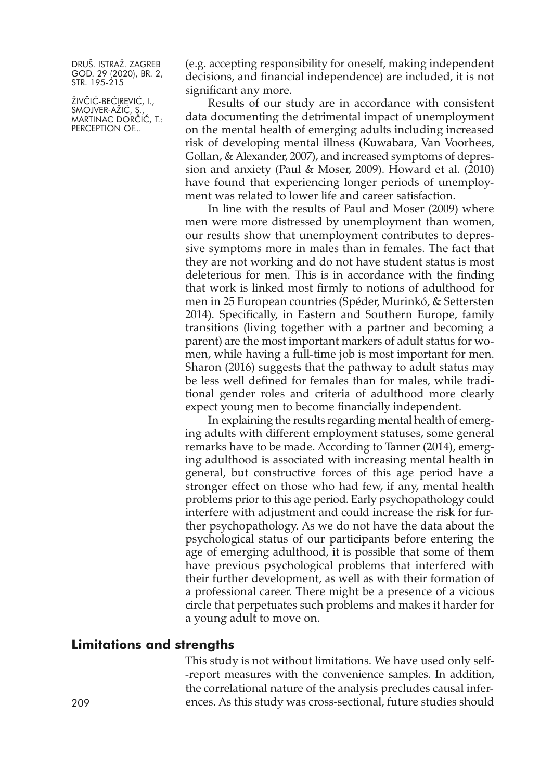ŽIVČIĆ-BEĆIREVIĆ, I., SMOJVER-AZIC, S., MARTINAC DORČIĆ, T.: PERCEPTION OF...

(e.g. accepting responsibility for oneself, making independent decisions, and financial independence) are included, it is not significant any more.

Results of our study are in accordance with consistent data documenting the detrimental impact of unemployment on the mental health of emerging adults including increased risk of developing mental illness (Kuwabara, Van Voorhees, Gollan, & Alexander, 2007), and increased symptoms of depression and anxiety (Paul & Moser, 2009). Howard et al. (2010) have found that experiencing longer periods of unemployment was related to lower life and career satisfaction.

In line with the results of Paul and Moser (2009) where men were more distressed by unemployment than women, our results show that unemployment contributes to depressive symptoms more in males than in females. The fact that they are not working and do not have student status is most deleterious for men. This is in accordance with the finding that work is linked most firmly to notions of adulthood for men in 25 European countries (Spéder, Murinkó, & Settersten 2014). Specifically, in Eastern and Southern Europe, family transitions (living together with a partner and becoming a parent) are the most important markers of adult status for women, while having a full-time job is most important for men. Sharon (2016) suggests that the pathway to adult status may be less well defined for females than for males, while traditional gender roles and criteria of adulthood more clearly expect young men to become financially independent.

In explaining the results regarding mental health of emerging adults with different employment statuses, some general remarks have to be made. According to Tanner (2014), emerging adulthood is associated with increasing mental health in general, but constructive forces of this age period have a stronger effect on those who had few, if any, mental health problems prior to this age period. Early psychopathology could interfere with adjustment and could increase the risk for further psychopathology. As we do not have the data about the psychological status of our participants before entering the age of emerging adulthood, it is possible that some of them have previous psychological problems that interfered with their further development, as well as with their formation of a professional career. There might be a presence of a vicious circle that perpetuates such problems and makes it harder for a young adult to move on.

#### **Limitations and strengths**

This study is not without limitations. We have used only self- -report measures with the convenience samples. In addition, the correlational nature of the analysis precludes causal infer-209 ences. As this study was cross-sectional, future studies should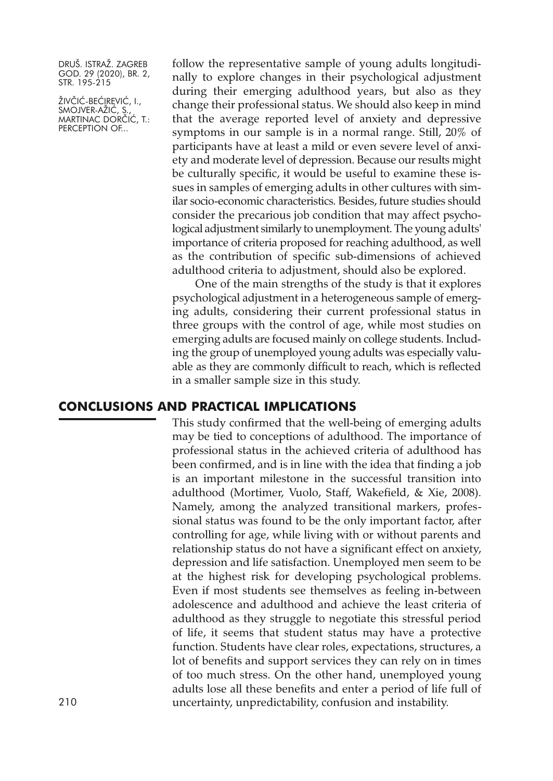ŽIVČIĆ-BEĆIREVIĆ, I., SMOJVER-AZIC, S., MARTINAC DORČIĆ, T.: PERCEPTION OF...

follow the representative sample of young adults longitudinally to explore changes in their psychological adjustment during their emerging adulthood years, but also as they change their professional status. We should also keep in mind that the average reported level of anxiety and depressive symptoms in our sample is in a normal range. Still, 20% of participants have at least a mild or even severe level of anxiety and moderate level of depression. Because our results might be culturally specific, it would be useful to examine these issues in samples of emerging adults in other cultures with similar socio-economic characteristics. Besides, future studies should consider the precarious job condition that may affect psychological adjustment similarly to unemployment. The young adults' importance of criteria proposed for reaching adulthood, as well as the contribution of specific sub-dimensions of achieved adulthood criteria to adjustment, should also be explored.

One of the main strengths of the study is that it explores psychological adjustment in a heterogeneous sample of emerging adults, considering their current professional status in three groups with the control of age, while most studies on emerging adults are focused mainly on college students. Including the group of unemployed young adults was especially valuable as they are commonly difficult to reach, which is reflected in a smaller sample size in this study.

#### **CONCLUSIONS AND PRACTICAL IMPLICATIONS**

This study confirmed that the well-being of emerging adults may be tied to conceptions of adulthood. The importance of professional status in the achieved criteria of adulthood has been confirmed, and is in line with the idea that finding a job is an important milestone in the successful transition into adulthood (Mortimer, Vuolo, Staff, Wakefield, & Xie, 2008). Namely, among the analyzed transitional markers, professional status was found to be the only important factor, after controlling for age, while living with or without parents and relationship status do not have a significant effect on anxiety, depression and life satisfaction. Unemployed men seem to be at the highest risk for developing psychological problems. Even if most students see themselves as feeling in-between adolescence and adulthood and achieve the least criteria of adulthood as they struggle to negotiate this stressful period of life, it seems that student status may have a protective function. Students have clear roles, expectations, structures, a lot of benefits and support services they can rely on in times of too much stress. On the other hand, unemployed young adults lose all these benefits and enter a period of life full of 210 uncertainty, unpredictability, confusion and instability.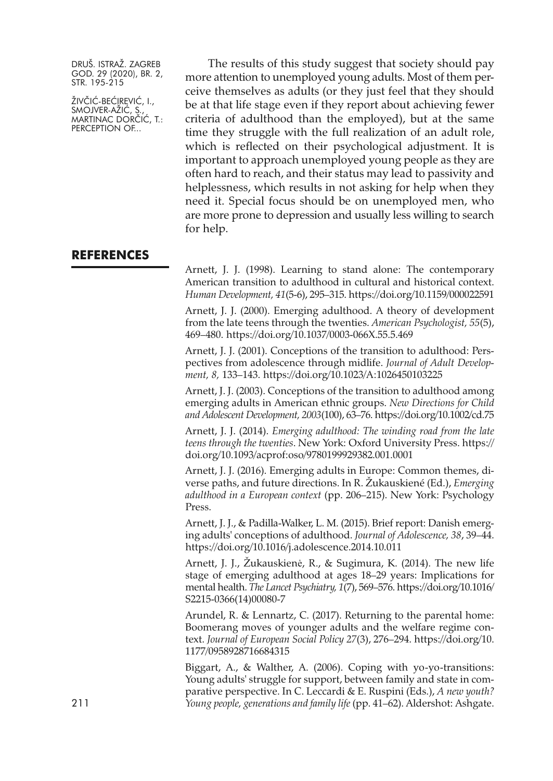ŽIVČIĆ-BEĆIREVIĆ, I., SMOJVER-AZIC, S., MARTINAC DORČIĆ, T.: PERCEPTION OF...

The results of this study suggest that society should pay more attention to unemployed young adults. Most of them perceive themselves as adults (or they just feel that they should be at that life stage even if they report about achieving fewer criteria of adulthood than the employed), but at the same time they struggle with the full realization of an adult role, which is reflected on their psychological adjustment. It is important to approach unemployed young people as they are often hard to reach, and their status may lead to passivity and helplessness, which results in not asking for help when they need it. Special focus should be on unemployed men, who are more prone to depression and usually less willing to search for help.

### **REFERENCES**

Arnett, J. J. (1998). Learning to stand alone: The contemporary American transition to adulthood in cultural and historical context. *Human Development, 41*(5-6), 295–315. <https://doi.org/10.1159/000022591>

Arnett, J. J. (2000). Emerging adulthood. A theory of development from the late teens through the twenties. *American Psychologist, 55*(5), 469–480. <https://doi.org/10.1037/0003-066X.55.5.469>

Arnett, J. J. (2001). Conceptions of the transition to adulthood: Perspectives from adolescence through midlife. *Journal of Adult Development, 8,* 133–143. <https://doi.org/10.1023/A:1026450103225>

Arnett, J. J. (2003). Conceptions of the transition to adulthood among emerging adults in American ethnic groups. *New Directions for Child and Adolescent Development, 2003*(100), 63–76. <https://doi.org/10.1002/cd.75>

Arnett, J. J. (2014). *Emerging adulthood: The winding road from the late teens through the twenties*. New York: Oxford University Press. [https://](https://doi.org/10.1093/acprof:oso/9780199929382.001.0001) [doi.org/10.1093/acprof:oso/9780199929382.001.0001](https://doi.org/10.1093/acprof:oso/9780199929382.001.0001)

Arnett, J. J. (2016). Emerging adults in Europe: Common themes, diverse paths, and future directions. In R. Žukauskiené (Ed.), *Emerging adulthood in a European context* (pp. 206–215). New York: Psychology Press.

Arnett, J. J., & Padilla-Walker, L. M. (2015). Brief report: Danish emerging adults' conceptions of adulthood. *Journal of Adolescence, 38*, 39–44. <https://doi.org/10.1016/j.adolescence.2014.10.011>

Arnett, J. J., Žukauskienė, R., & Sugimura, K. (2014). The new life stage of emerging adulthood at ages 18–29 years: Implications for mental health. *The Lancet Psychiatry, 1*(7), 569–576. [https://doi.org/10.1016/](https://doi.org/10.1016/S2215-0366(14)00080-7) [S2215-0366\(14\)00080-7](https://doi.org/10.1016/S2215-0366(14)00080-7)

Arundel, R. & Lennartz, C. (2017). Returning to the parental home: Boomerang moves of younger adults and the welfare regime context. *Journal of European Social Policy 27*(3), 276–294. [https://doi.org/10.](https://doi.org/10.1177/0958928716684315) [1177/0958928716684315](https://doi.org/10.1177/0958928716684315)

Biggart, A., & Walther, A. (2006). Coping with yo-yo-transitions: Young adults' struggle for support, between family and state in comparative perspective. In C. Leccardi & E. Ruspini (Eds.), *A new youth?* 211 *Young people, generations and family life* (pp. 41–62). Aldershot: Ashgate.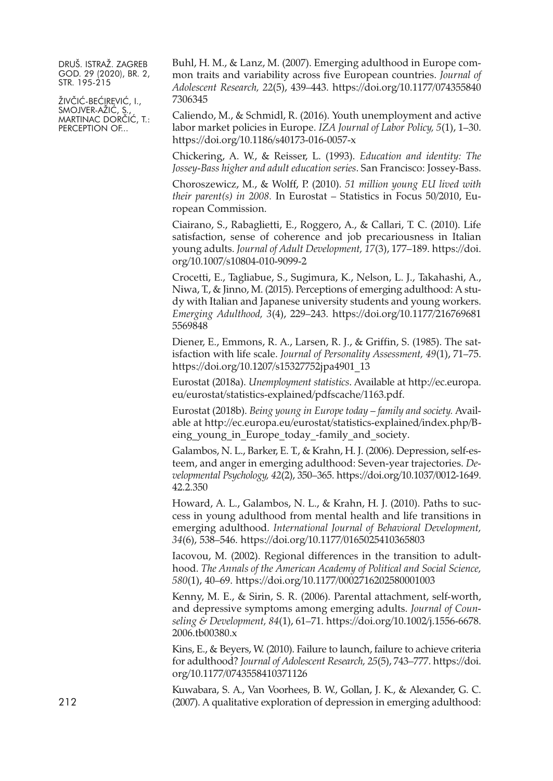ŽIVČIĆ-BEĆIREVIĆ, I., SMOJVER-AZIC, S., MARTINAC DORČIĆ, T.: PERCEPTION OF...

Buhl, H. M., & Lanz, M. (2007). Emerging adulthood in Europe common traits and variability across five European countries. *Journal of Adolescent Research, 22*(5), 439–443. [https://doi.org/10.1177/074355840](https://doi.org/10.1177/0743558407306345) [7306345](https://doi.org/10.1177/0743558407306345)

Caliendo, M., & Schmidl, R. (2016). Youth unemployment and active labor market policies in Europe. *IZA Journal of Labor Policy, 5*(1), 1–30. <https://doi.org/10.1186/s40173-016-0057-x>

Chickering, A. W., & Reisser, L. (1993). *Education and identity: The Jossey-Bass higher and adult education series*. San Francisco: Jossey-Bass.

Choroszewicz, M., & Wolff, P. (2010). *51 million young EU lived with their parent(s) in 2008.* In Eurostat – Statistics in Focus 50/2010, European Commission.

Ciairano, S., Rabaglietti, E., Roggero, A., & Callari, T. C. (2010). Life satisfaction, sense of coherence and job precariousness in Italian young adults. *Journal of Adult Development, 17*(3), 177–189. [https://doi.](https://doi.org/10.1007/s10804-010-9099-2) [org/10.1007/s10804-010-9099-2](https://doi.org/10.1007/s10804-010-9099-2)

Crocetti, E., Tagliabue, S., Sugimura, K., Nelson, L. J., Takahashi, A., Niwa, T., & Jinno, M. (2015). Perceptions of emerging adulthood: A study with Italian and Japanese university students and young workers. *Emerging Adulthood, 3*(4), 229–243. [https://doi.org/10.1177/216769681](https://doi.org/10.1177/2167696815569848) [5569848](https://doi.org/10.1177/2167696815569848)

Diener, E., Emmons, R. A., Larsen, R. J., & Griffin, S. (1985). The satisfaction with life scale. *Journal of Personality Assessment, 49*(1), 71–75. [https://doi.org/10.1207/s15327752jpa4901\\_13](https://doi.org/10.1207/s15327752jpa4901_13)

Eurostat (2018a). *Unemployment statistics*. Available at [http://ec.europa.](http://ec.europa.eu/eurostat/statistics-explained/pdfscache/1163.pdf) [eu/eurostat/statistics-explained/pdfscache/1163.pdf.](http://ec.europa.eu/eurostat/statistics-explained/pdfscache/1163.pdf)

Eurostat (2018b). *Being young in Europe today – family and society.* Available at [http://ec.europa.eu/eurostat/statistics-explained/index.php/B](http://ec.europa.eu/eurostat/statistics-explained/index.php/Being_young_in_Europe_today_-family_and_society)eing young in Europe today -family and society.

Galambos, N. L., Barker, E. T., & Krahn, H. J. (2006). Depression, self-esteem, and anger in emerging adulthood: Seven-year trajectories. *Developmental Psychology, 42*(2), 350–365. [https://doi.org/10.1037/0012-1649.](https://doi.org/10.1037/0012-1649.42.2.350) [42.2.350](https://doi.org/10.1037/0012-1649.42.2.350)

Howard, A. L., Galambos, N. L., & Krahn, H. J. (2010). Paths to success in young adulthood from mental health and life transitions in emerging adulthood. *International Journal of Behavioral Development, 34*(6), 538–546. <https://doi.org/10.1177/0165025410365803>

Iacovou, M. (2002). Regional differences in the transition to adulthood. *The Annals of the American Academy of Political and Social Science, 580*(1), 40–69. <https://doi.org/10.1177/0002716202580001003>

Kenny, M. E., & Sirin, S. R. (2006). Parental attachment, self-worth, and depressive symptoms among emerging adults. *Journal of Counseling & Development, 84*(1), 61–71. [https://doi.org/10.1002/j.1556-6678.](https://doi.org/10.1002/j.1556-6678.2006.tb00380.x) [2006.tb00380.x](https://doi.org/10.1002/j.1556-6678.2006.tb00380.x)

Kins, E., & Beyers, W. (2010). Failure to launch, failure to achieve criteria for adulthood? *Journal of Adolescent Research, 25*(5), 743–777. [https://doi.](https://doi.org/10.1177/0743558410371126) [org/10.1177/0743558410371126](https://doi.org/10.1177/0743558410371126)

Kuwabara, S. A., Van Voorhees, B. W., Gollan, J. K., & Alexander, G. C. 212 (2007). A qualitative exploration of depression in emerging adulthood: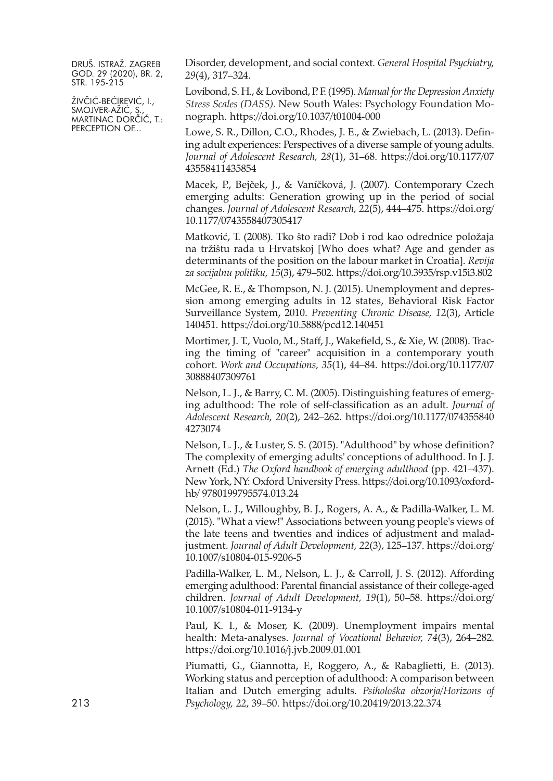ŽIVČIĆ-BEĆIREVIĆ, I., SMOJVER-AZIC, S., MARTINAC DORČIĆ, T.: PERCEPTION OF...

Disorder, development, and social context*. General Hospital Psychiatry, 29*(4), 317–324.

Lovibond, S. H., & Lovibond, P. F. (1995). *Manual forthe Depression Anxiety Stress Scales (DASS).* New South Wales: Psychology Foundation Monograph. <https://doi.org/10.1037/t01004-000>

Lowe, S. R., Dillon, C.O., Rhodes, J. E., & Zwiebach, L. (2013). Defining adult experiences: Perspectives of a diverse sample of young adults. *Journal of Adolescent Research, 28*(1), 31–68. [https://doi.org/10.1177/07](https://doi.org/10.1177/0743558411435854) [43558411435854](https://doi.org/10.1177/0743558411435854)

Macek, P., Bejček, J., & Vaníčková, J. (2007). Contemporary Czech emerging adults: Generation growing up in the period of social changes. *Journal of Adolescent Research, 22*(5), 444–475. [https://doi.org/](https://doi.org/10.1177/0743558407305417) [10.1177/0743558407305417](https://doi.org/10.1177/0743558407305417)

Matković, T. (2008). Tko što radi? Dob i rod kao odrednice položaja na tržištu rada u Hrvatskoj [Who does what? Age and gender as determinants of the position on the labour market in Croatia]. *Revija za socijalnu politiku, 15*(3), 479–502. <https://doi.org/10.3935/rsp.v15i3.802>

McGee, R. E., & Thompson, N. J. (2015). Unemployment and depression among emerging adults in 12 states, Behavioral Risk Factor Surveillance System, 2010. *Preventing Chronic Disease, 12*(3), Article 140451. <https://doi.org/10.5888/pcd12.140451>

Mortimer, J. T., Vuolo, M., Staff, J., Wakefield, S., & Xie, W. (2008). Tracing the timing of "career" acquisition in a contemporary youth cohort. *Work and Occupations, 35*(1), 44–84. [https://doi.org/10.1177/07](https://doi.org/10.1177/0730888407309761) [30888407309761](https://doi.org/10.1177/0730888407309761)

Nelson, L. J., & Barry, C. M. (2005). Distinguishing features of emerging adulthood: The role of self-classification as an adult. *Journal of Adolescent Research, 20*(2), 242–262. [https://doi.org/10.1177/074355840](https://doi.org/10.1177/0743558404273074) [4273074](https://doi.org/10.1177/0743558404273074)

Nelson, L. J., & Luster, S. S. (2015). "Adulthood" by whose definition? The complexity of emerging adults' conceptions of adulthood. In J. J. Arnett (Ed.) *The Oxford handbook of emerging adulthood* (pp. 421–437). New York, NY: Oxford University Press. [https://doi.org/10.1093/oxford](https://doi.org/10.1093/oxfordhb/9780199795574.013.24)hb/ [9780199795574.013.24](https://doi.org/10.1093/oxfordhb/9780199795574.013.24)

Nelson, L. J., Willoughby, B. J., Rogers, A. A., & Padilla-Walker, L. M. (2015). "What a view!" Associations between young people's views of the late teens and twenties and indices of adjustment and maladjustment. *Journal of Adult Development, 22*(3), 125–137. [https://doi.org/](https://doi.org/10.1007/s10804-015-9206-5) [10.1007/s10804-015-9206-5](https://doi.org/10.1007/s10804-015-9206-5)

Padilla-Walker, L. M., Nelson, L. J., & Carroll, J. S. (2012). Affording emerging adulthood: Parental financial assistance of their college-aged children. *Journal of Adult Development, 19*(1), 50–58. [https://doi.org/](https://doi.org/10.1007/s10804-011-9134-y) [10.1007/s10804-011-9134-y](https://doi.org/10.1007/s10804-011-9134-y)

Paul, K. I., & Moser, K. (2009). Unemployment impairs mental health: Meta-analyses. *Journal of Vocational Behavior, 74*(3), 264–282. <https://doi.org/10.1016/j.jvb.2009.01.001>

Piumatti, G., Giannotta, F., Roggero, A., & Rabaglietti, E. (2013). Working status and perception of adulthood: A comparison between Italian and Dutch emerging adults. *Psihološka obzorja/Horizons of* 213 *Psychology, 22*, 39–50. <https://doi.org/10.20419/2013.22.374>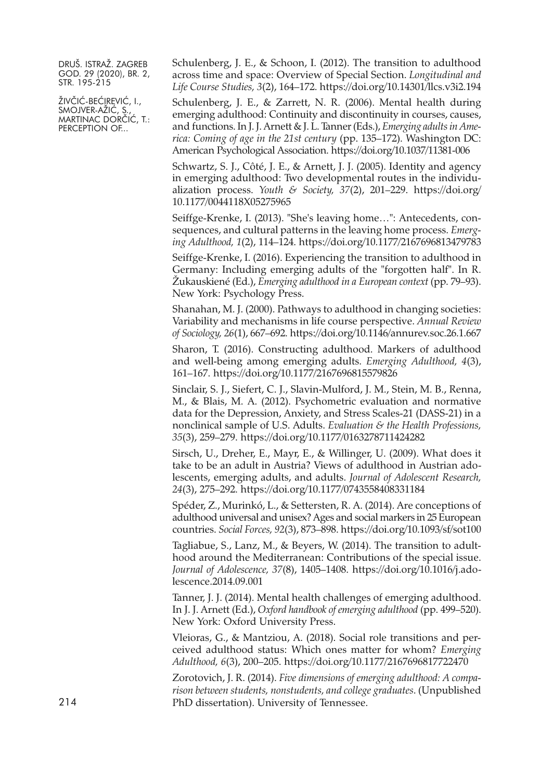ŽIVČIĆ-BEĆIREVIĆ, I., SMOJVER-AZIC, S., MARTINAC DORČIĆ, T.: PERCEPTION OF...

Schulenberg, J. E., & Schoon, I. (2012). The transition to adulthood across time and space: Overview of Special Section. *Longitudinal and Life Course Studies, 3*(2), 164–172. <https://doi.org/10.14301/llcs.v3i2.194>

Schulenberg, J. E., & Zarrett, N. R. (2006). Mental health during emerging adulthood: Continuity and discontinuity in courses, causes, and functions. In J. J.Arnett & J. L. Tanner(Eds.), *Emerging adultsin America: Coming of age in the 21st century* (pp. 135–172). Washington DC: American Psychological Association. <https://doi.org/10.1037/11381-006>

Schwartz, S. J., Côté, J. E., & Arnett, J. J. (2005). Identity and agency in emerging adulthood: Two developmental routes in the individualization process. *Youth & Society, 37*(2), 201–229. [https://doi.org/](https://doi.org/10.1177/0044118X05275965) [10.1177/0044118X05275965](https://doi.org/10.1177/0044118X05275965)

Seiffge-Krenke, I. (2013). "She's leaving home...": Antecedents, consequences, and cultural patterns in the leaving home process. *Emerging Adulthood, 1*(2), 114–124. <https://doi.org/10.1177/2167696813479783>

Seiffge-Krenke, I. (2016). Experiencing the transition to adulthood in Germany: Including emerging adults of the "forgotten half". In R. Žukauskiené (Ed.), *Emerging adulthood in a European context* (pp. 79–93). New York: Psychology Press.

Shanahan, M. J. (2000). Pathways to adulthood in changing societies: Variability and mechanisms in life course perspective. *Annual Review of Sociology, 26*(1), 667–692. <https://doi.org/10.1146/annurev.soc.26.1.667>

Sharon, T. (2016). Constructing adulthood. Markers of adulthood and well-being among emerging adults. *Emerging Adulthood, 4*(3), 161–167. <https://doi.org/10.1177/2167696815579826>

Sinclair, S. J., Siefert, C. J., Slavin-Mulford, J. M., Stein, M. B., Renna, M., & Blais, M. A. (2012). Psychometric evaluation and normative data for the Depression, Anxiety, and Stress Scales-21 (DASS-21) in a nonclinical sample of U.S. Adults. *Evaluation & the Health Professions, 35*(3), 259–279. <https://doi.org/10.1177/0163278711424282>

Sirsch, U., Dreher, E., Mayr, E., & Willinger, U. (2009). What does it take to be an adult in Austria? Views of adulthood in Austrian adolescents, emerging adults, and adults. *Journal of Adolescent Research, 24*(3), 275–292. <https://doi.org/10.1177/0743558408331184>

Spéder, Z., Murinkó, L., & Settersten, R. A. (2014). Are conceptions of adulthood universal and unisex?Ages and social markers in 25 European countries. *Social Forces, 92*(3), 873–898. <https://doi.org/10.1093/sf/sot100>

Tagliabue, S., Lanz, M., & Beyers, W. (2014). The transition to adulthood around the Mediterranean: Contributions of the special issue. *Journal of Adolescence, 37*(8), 1405–1408. [https://doi.org/10.1016/j.ado](https://doi.org/10.1016/j.adolescence.2014.09.001)[lescence.2014.09.001](https://doi.org/10.1016/j.adolescence.2014.09.001)

Tanner, J. J. (2014). Mental health challenges of emerging adulthood. In J. J. Arnett (Ed.), *Oxford handbook of emerging adulthood* (pp. 499–520). New York: Oxford University Press.

Vleioras, G., & Mantziou, A. (2018). Social role transitions and perceived adulthood status: Which ones matter for whom? *Emerging Adulthood, 6*(3), 200–205. <https://doi.org/10.1177/2167696817722470>

Zorotovich, J. R. (2014). *Five dimensions of emerging adulthood: A comparison between students, nonstudents, and college graduates*. (Unpublished 214 PhD dissertation). University of Tennessee.